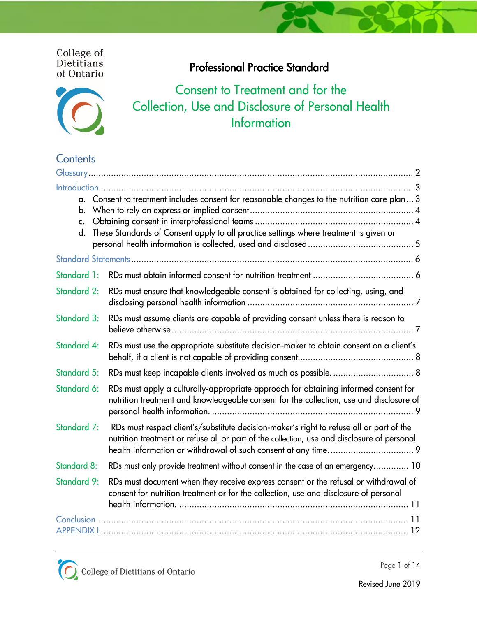# College of<br>Dietitians of Ontario

# Consent to Treatment and for the Collection, Use and Disclosure of Personal Health **Information**

Professional Practice Standard

# **Contents**

| c.                 | a. Consent to treatment includes consent for reasonable changes to the nutrition care plan 3                                                                                            |
|--------------------|-----------------------------------------------------------------------------------------------------------------------------------------------------------------------------------------|
|                    | d. These Standards of Consent apply to all practice settings where treatment is given or                                                                                                |
|                    |                                                                                                                                                                                         |
| Standard 1:        |                                                                                                                                                                                         |
| <b>Standard 2:</b> | RDs must ensure that knowledgeable consent is obtained for collecting, using, and                                                                                                       |
| Standard 3:        | RDs must assume clients are capable of providing consent unless there is reason to                                                                                                      |
| Standard 4:        | RDs must use the appropriate substitute decision-maker to obtain consent on a client's                                                                                                  |
| <b>Standard 5:</b> |                                                                                                                                                                                         |
| Standard 6:        | RDs must apply a culturally-appropriate approach for obtaining informed consent for<br>nutrition treatment and knowledgeable consent for the collection, use and disclosure of          |
| Standard 7:        | RDs must respect client's/substitute decision-maker's right to refuse all or part of the<br>nutrition treatment or refuse all or part of the collection, use and disclosure of personal |
| <b>Standard 8:</b> | RDs must only provide treatment without consent in the case of an emergency 10                                                                                                          |
| <b>Standard 9:</b> | RDs must document when they receive express consent or the refusal or withdrawal of<br>consent for nutrition treatment or for the collection, use and disclosure of personal            |
|                    |                                                                                                                                                                                         |

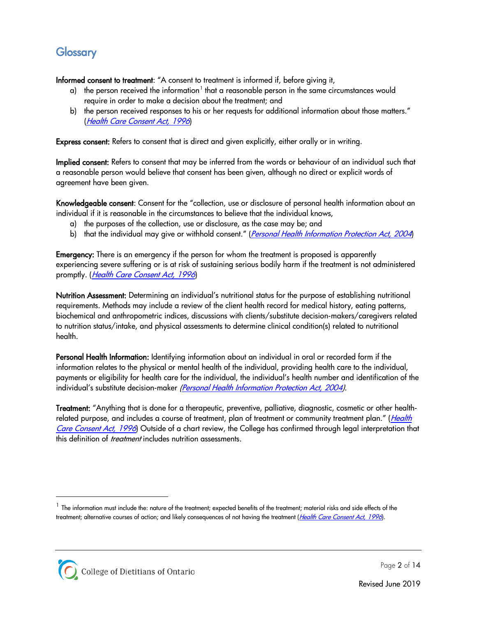# <span id="page-1-0"></span>**Glossary**

<span id="page-1-2"></span>Informed consent to treatment: "A consent to treatment is informed if, before giving it,

- a) the person received the information<sup>[1](#page-1-1)</sup> that a reasonable person in the same circumstances would require in order to make a decision about the treatment; and
- b) the person received responses to his or her requests for additional information about those matters." ([Health Care Consent Act, 1996](https://www.ontario.ca/laws/statute/96h02))

Express consent: Refers to consent that is direct and given explicitly, either orally or in writing.

Implied consent: Refers to consent that may be inferred from the words or behaviour of an individual such that a reasonable person would believe that consent has been given, although no direct or explicit words of agreement have been given.

Knowledgeable consent: Consent for the "collection, use or disclosure of personal health information about an individual if it is reasonable in the circumstances to believe that the individual knows,

- a) the purposes of the collection, use or disclosure, as the case may be; and
- b) that the individual may give or withhold consent." ([Personal Health Information Protection Act, 2004](https://www.ontario.ca/laws/statute/04p03))

**Emergency:** There is an emergency if the person for whom the treatment is proposed is apparently experiencing severe suffering or is at risk of sustaining serious bodily harm if the treatment is not administered promptly. ([Health Care Consent Act, 1996](http://www.ontario.ca/laws/statute/96h02))

Nutrition Assessment: Determining an individual's nutritional status for the purpose of establishing nutritional requirements. Methods may include a review of the client health record for medical history, eating patterns, biochemical and anthropometric indices, discussions with clients/substitute decision-makers/caregivers related to nutrition status/intake, and physical assessments to determine clinical condition(s) related to nutritional health.

Personal Health Information: Identifying information about an individual in oral or recorded form if the information relates to the physical or mental health of the individual, providing health care to the individual, payments or eligibility for health care for the individual, the individual's health number and identification of the individual's substitute decision-maker [\(Personal Health Information Protection Act, 2004\)](https://www.ontario.ca/laws/statute/04p03).

Treatment: "Anything that is done for a therapeutic, preventive, palliative, diagnostic, cosmetic or other healthrelated purpose, and includes a course of treatment, plan of treatment or community treatment plan." (*Health* [Care Consent Act, 1996](http://www.ontario.ca/laws/statute/96h02)) Outside of a chart review, the College has confirmed through legal interpretation that this definition of *treatment* includes nutrition assessments.

<span id="page-1-1"></span> $^1$  The information must include the: nature of the treatment; expected benefits of the treatment; material risks and side effects of the treatment; alternative courses of action; and likely consequences of not having the treatment ([Health Care Consent Act, 1996](https://www.ontario.ca/laws/statute/96h02)).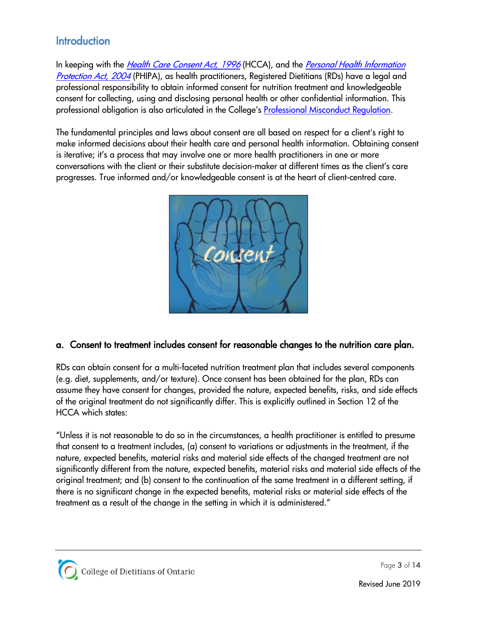# <span id="page-2-0"></span>**Introduction**

In keeping with the *[Health Care Consent Act,](http://www.ontario.ca/laws/statute/96h02) 1996* (HCCA), and the *Personal Health Information* [Protection Act,](http://www.ontario.ca/laws/statute/04p03?search=personal+health+information+protection+act) 2004 (PHIPA), as health practitioners, Registered Dietitians (RDs) have a legal and professional responsibility to obtain informed consent for nutrition treatment and knowledgeable consent for collecting, using and disclosing personal health or other confidential information. This professional obligation is also articulated in the College's [Professional Misconduct Regulation](http://www.ontario.ca/laws/regulation/930680).

The fundamental principles and laws about consent are all based on respect for a client's right to make informed decisions about their health care and personal health information. Obtaining consent is iterative; it's a process that may involve one or more health practitioners in one or more conversations with the client or their substitute decision-maker at different times as the client's care progresses. True informed and/or knowledgeable consent is at the heart of client-centred care.



# <span id="page-2-1"></span>a. Consent to treatment includes consent for reasonable changes to the nutrition care plan.

RDs can obtain consent for a multi-faceted nutrition treatment plan that includes several components (e.g. diet, supplements, and/or texture). Once consent has been obtained for the plan, RDs can assume they have consent for changes, provided the nature, expected benefits, risks, and side effects of the original treatment do not significantly differ. This is explicitly outlined in Section 12 of the HCCA which states:

"Unless it is not reasonable to do so in the circumstances, a health practitioner is entitled to presume that consent to a treatment includes, (a) consent to variations or adjustments in the treatment, if the nature, expected benefits, material risks and material side effects of the changed treatment are not significantly different from the nature, expected benefits, material risks and material side effects of the original treatment; and (b) consent to the continuation of the same treatment in a different setting, if there is no significant change in the expected benefits, material risks or material side effects of the treatment as a result of the change in the setting in which it is administered."

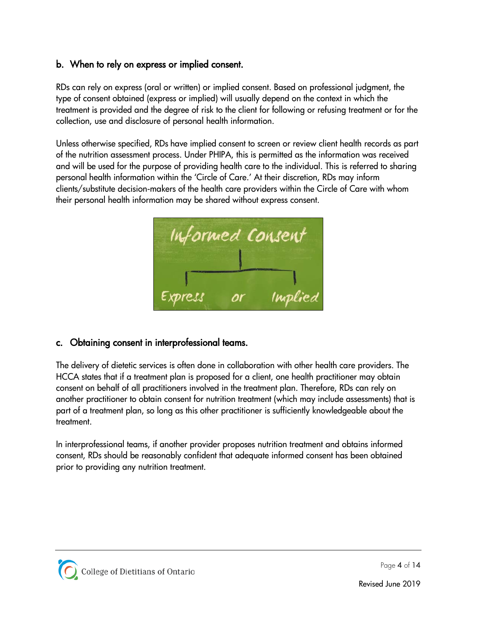# <span id="page-3-0"></span>b. When to rely on express or implied consent.

RDs can rely on express (oral or written) or implied consent. Based on professional judgment, the type of consent obtained (express or implied) will usually depend on the context in which the treatment is provided and the degree of risk to the client for following or refusing treatment or for the collection, use and disclosure of personal health information.

Unless otherwise specified, RDs have implied consent to screen or review client health records as part of the nutrition assessment process. Under PHIPA, this is permitted as the information was received and will be used for the purpose of providing health care to the individual. This is referred to sharing personal health information within the 'Circle of Care.' At their discretion, RDs may inform clients/substitute decision-makers of the health care providers within the Circle of Care with whom their personal health information may be shared without express consent.



# <span id="page-3-1"></span>c. Obtaining consent in interprofessional teams.

The delivery of dietetic services is often done in collaboration with other health care providers. The HCCA states that if a treatment plan is proposed for a client, one health practitioner may obtain consent on behalf of all practitioners involved in the treatment plan. Therefore, RDs can rely on another practitioner to obtain consent for nutrition treatment (which may include assessments) that is part of a treatment plan, so long as this other practitioner is sufficiently knowledgeable about the treatment.

In interprofessional teams, if another provider proposes nutrition treatment and obtains informed consent, RDs should be reasonably confident that adequate informed consent has been obtained prior to providing any nutrition treatment.

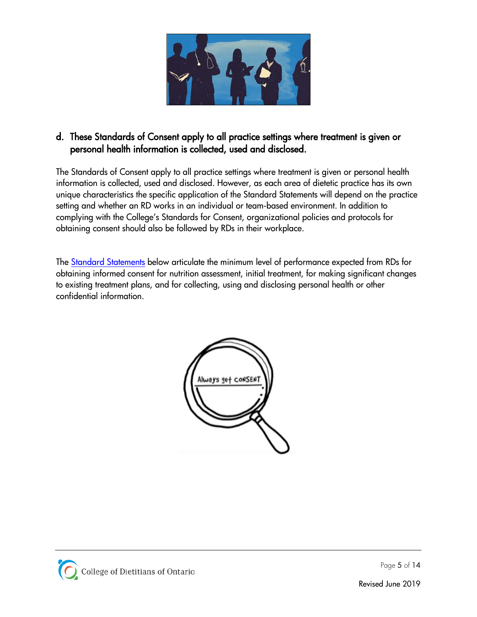

# <span id="page-4-0"></span>d. These Standards of Consent apply to all practice settings where treatment is given or personal health information is collected, used and disclosed.

The Standards of Consent apply to all practice settings where treatment is given or personal health information is collected, used and disclosed. However, as each area of dietetic practice has its own unique characteristics the specific application of the Standard Statements will depend on the practice setting and whether an RD works in an individual or team-based environment. In addition to complying with the College's Standards for Consent, organizational policies and protocols for obtaining consent should also be followed by RDs in their workplace.

<span id="page-4-2"></span>The [Standard Statements](#page-4-2) below articulate the minimum level of performance expected from RDs for obtaining informed consent for nutrition assessment, initial treatment, for making significant changes to existing treatment plans, and for collecting, using and disclosing personal health or other confidential information.



<span id="page-4-1"></span>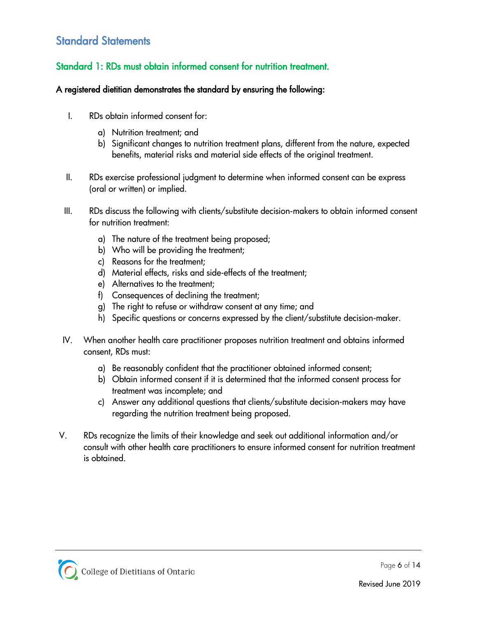# Standard Statements

# <span id="page-5-0"></span>Standard 1: RDs must obtain informed consent for nutrition treatment.

- I. RDs obtain informed consent for:
	- a) Nutrition treatment; and
	- b) Significant changes to nutrition treatment plans, different from the nature, expected benefits, material risks and material side effects of the original treatment.
- II. RDs exercise professional judgment to determine when informed consent can be express (oral or written) or implied.
- III. RDs discuss the following with clients/substitute decision-makers to obtain informed consent for nutrition treatment:
	- a) The nature of the treatment being proposed;
	- b) Who will be providing the treatment;
	- c) Reasons for the treatment;
	- d) Material effects, risks and side-effects of the treatment;
	- e) Alternatives to the treatment;
	- f) Consequences of declining the treatment;
	- g) The right to refuse or withdraw consent at any time; and
	- h) Specific questions or concerns expressed by the client/substitute decision-maker.
- IV. When another health care practitioner proposes nutrition treatment and obtains informed consent, RDs must:
	- a) Be reasonably confident that the practitioner obtained informed consent;
	- b) Obtain informed consent if it is determined that the informed consent process for treatment was incomplete; and
	- c) Answer any additional questions that clients/substitute decision-makers may have regarding the nutrition treatment being proposed.
- V. RDs recognize the limits of their knowledge and seek out additional information and/or consult with other health care practitioners to ensure informed consent for nutrition treatment is obtained.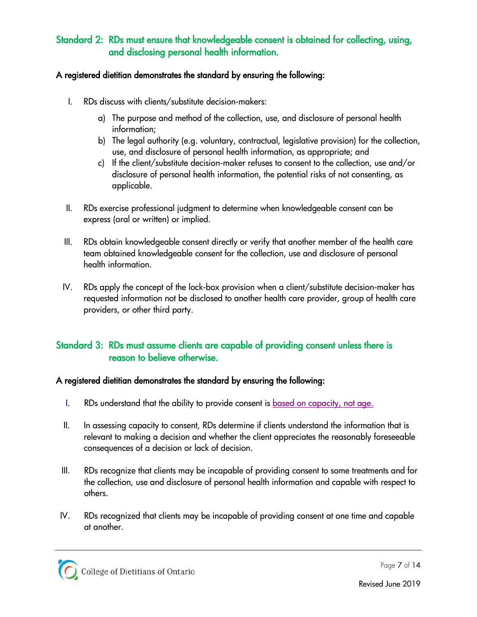# <span id="page-6-0"></span>Standard 2: RDs must ensure that knowledgeable consent is obtained for collecting, using, and disclosing personal health information.

# A registered dietitian demonstrates the standard by ensuring the following:

- I. RDs discuss with clients/substitute decision-makers:
	- a) The purpose and method of the collection, use, and disclosure of personal health information;
	- b) The legal authority (e.g. voluntary, contractual, legislative provision) for the collection, use, and disclosure of personal health information, as appropriate; and
	- c) If the client/substitute decision-maker refuses to consent to the collection, use and/or disclosure of personal health information, the potential risks of not consenting, as applicable.
- II. RDs exercise professional judgment to determine when knowledgeable consent can be express (oral or written) or implied.
- III. RDs obtain knowledgeable consent directly or verify that another member of the health care team obtained knowledgeable consent for the collection, use and disclosure of personal health information.
- IV. RDs apply the concept of the lock-box provision when a client/substitute decision-maker has requested information not be disclosed to another health care provider, group of health care providers, or other third party.

# <span id="page-6-1"></span>Standard 3: RDs must assume clients are capable of providing consent unless there is reason to believe otherwise.

- I. RDs understand that the ability to provide consent is [based on capacity,](https://www.collegeofdietitians.org/resources/professional-practice/consent-to-treatment/consent-to-treatment-based-on-capacity,-not-age-(2.aspx) not age.
- II. In assessing capacity to consent, RDs determine if clients understand the information that is relevant to making a decision and whether the client appreciates the reasonably foreseeable consequences of a decision or lack of decision.
- III. RDs recognize that clients may be incapable of providing consent to some treatments and for the collection, use and disclosure of personal health information and capable with respect to others.
- IV. RDs recognized that clients may be incapable of providing consent at one time and capable at another.

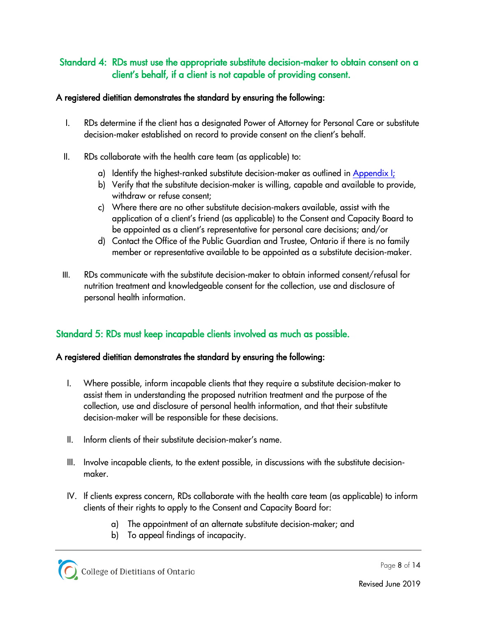# <span id="page-7-0"></span>Standard 4: RDs must use the appropriate substitute decision-maker to obtain consent on a client's behalf, if a client is not capable of providing consent.

## A registered dietitian demonstrates the standard by ensuring the following:

- I. RDs determine if the client has a designated Power of Attorney for Personal Care or substitute decision-maker established on record to provide consent on the client's behalf.
- II. RDs collaborate with the health care team (as applicable) to:
	- a) Identify the highest-ranked substitute decision-maker as outlined in [Appendix I;](#page-11-0)
	- b) Verify that the substitute decision-maker is willing, capable and available to provide, withdraw or refuse consent;
	- c) Where there are no other substitute decision-makers available, assist with the application of a client's friend (as applicable) to the Consent and Capacity Board to be appointed as a client's representative for personal care decisions; and/or
	- d) Contact the Office of the Public Guardian and Trustee, Ontario if there is no family member or representative available to be appointed as a substitute decision-maker.
- III. RDs communicate with the substitute decision-maker to obtain informed consent/refusal for nutrition treatment and knowledgeable consent for the collection, use and disclosure of personal health information.

# <span id="page-7-1"></span>Standard 5: RDs must keep incapable clients involved as much as possible.

- I. Where possible, inform incapable clients that they require a substitute decision-maker to assist them in understanding the proposed nutrition treatment and the purpose of the collection, use and disclosure of personal health information, and that their substitute decision-maker will be responsible for these decisions.
- II. Inform clients of their substitute decision-maker's name.
- III. Involve incapable clients, to the extent possible, in discussions with the substitute decisionmaker.
- IV. If clients express concern, RDs collaborate with the health care team (as applicable) to inform clients of their rights to apply to the Consent and Capacity Board for:
	- a) The appointment of an alternate substitute decision-maker; and
	- b) To appeal findings of incapacity.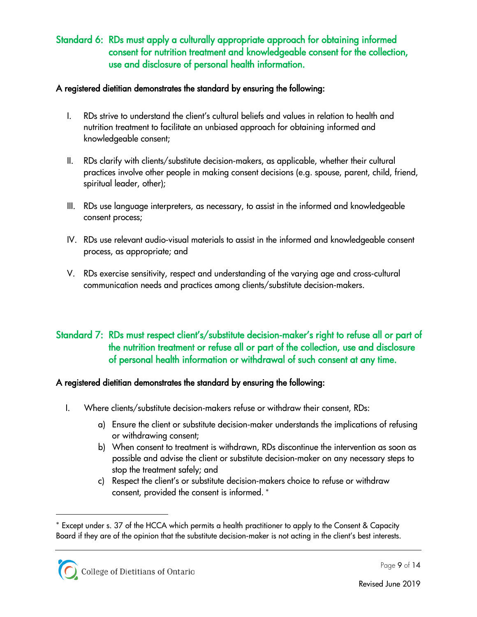# <span id="page-8-0"></span>Standard 6: RDs must apply a culturally appropriate approach for obtaining informed consent for nutrition treatment and knowledgeable consent for the collection, use and disclosure of personal health information.

## A registered dietitian demonstrates the standard by ensuring the following:

- I. RDs strive to understand the client's cultural beliefs and values in relation to health and nutrition treatment to facilitate an unbiased approach for obtaining informed and knowledgeable consent;
- II. RDs clarify with clients/substitute decision-makers, as applicable, whether their cultural practices involve other people in making consent decisions (e.g. spouse, parent, child, friend, spiritual leader, other);
- III. RDs use language interpreters, as necessary, to assist in the informed and knowledgeable consent process;
- IV. RDs use relevant audio-visual materials to assist in the informed and knowledgeable consent process, as appropriate; and
- V. RDs exercise sensitivity, respect and understanding of the varying age and cross-cultural communication needs and practices among clients/substitute decision-makers.

# <span id="page-8-1"></span>Standard 7: RDs must respect client's/substitute decision-maker's right to refuse all or part of the nutrition treatment or refuse all or part of the collection, use and disclosure of personal health information or withdrawal of such consent at any time.

# A registered dietitian demonstrates the standard by ensuring the following:

- I. Where clients/substitute decision-makers refuse or withdraw their consent, RDs:
	- a) Ensure the client or substitute decision-maker understands the implications of refusing or withdrawing consent;
	- b) When consent to treatment is withdrawn, RDs discontinue the intervention as soon as possible and advise the client or substitute decision-maker on any necessary steps to stop the treatment safely; and
	- c) Respect the client's or substitute decision-makers choice to refuse or withdraw consent, provided the consent is informed. [∗](#page-8-2)

 $\ddot{\phantom{a}}$ 

<span id="page-8-2"></span><sup>∗</sup> Except under s. 37 of the HCCA which permits a health practitioner to apply to the Consent & Capacity Board if they are of the opinion that the substitute decision-maker is not acting in the client's best interests.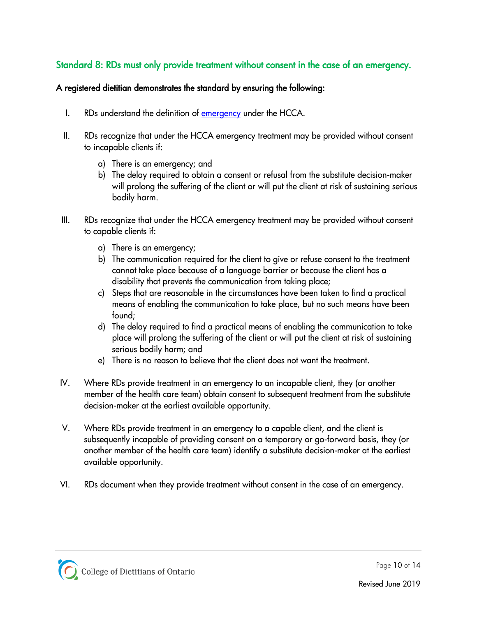# <span id="page-9-0"></span>Standard 8: RDs must only provide treatment without consent in the case of an emergency.

- I. RDs understand the definition of [emergency](#page-1-2) under the HCCA.
- II. RDs recognize that under the HCCA emergency treatment may be provided without consent to incapable clients if:
	- a) There is an emergency; and
	- b) The delay required to obtain a consent or refusal from the substitute decision-maker will prolong the suffering of the client or will put the client at risk of sustaining serious bodily harm.
- III. RDs recognize that under the HCCA emergency treatment may be provided without consent to capable clients if:
	- a) There is an emergency;
	- b) The communication required for the client to give or refuse consent to the treatment cannot take place because of a language barrier or because the client has a disability that prevents the communication from taking place;
	- c) Steps that are reasonable in the circumstances have been taken to find a practical means of enabling the communication to take place, but no such means have been found;
	- d) The delay required to find a practical means of enabling the communication to take place will prolong the suffering of the client or will put the client at risk of sustaining serious bodily harm; and
	- e) There is no reason to believe that the client does not want the treatment.
- IV. Where RDs provide treatment in an emergency to an incapable client, they (or another member of the health care team) obtain consent to subsequent treatment from the substitute decision-maker at the earliest available opportunity.
- V. Where RDs provide treatment in an emergency to a capable client, and the client is subsequently incapable of providing consent on a temporary or go-forward basis, they (or another member of the health care team) identify a substitute decision-maker at the earliest available opportunity.
- VI. RDs document when they provide treatment without consent in the case of an emergency.

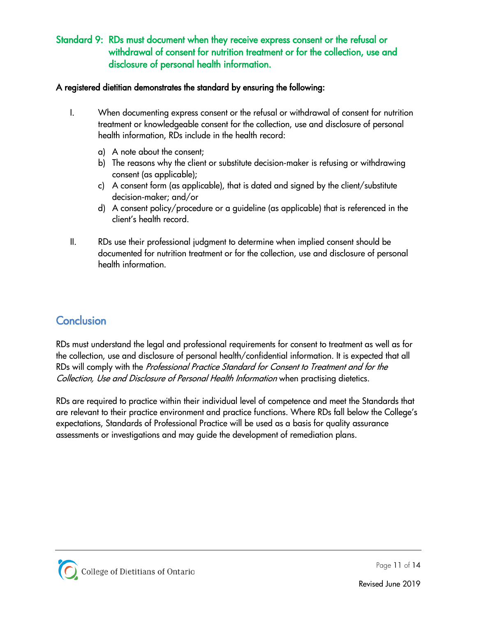# <span id="page-10-0"></span>Standard 9: RDs must document when they receive express consent or the refusal or withdrawal of consent for nutrition treatment or for the collection, use and disclosure of personal health information.

#### A registered dietitian demonstrates the standard by ensuring the following:

- I. When documenting express consent or the refusal or withdrawal of consent for nutrition treatment or knowledgeable consent for the collection, use and disclosure of personal health information, RDs include in the health record:
	- a) A note about the consent;
	- b) The reasons why the client or substitute decision-maker is refusing or withdrawing consent (as applicable);
	- c) A consent form (as applicable), that is dated and signed by the client/substitute decision-maker; and/or
	- d) A consent policy/procedure or a guideline (as applicable) that is referenced in the client's health record.
- II. RDs use their professional judgment to determine when implied consent should be documented for nutrition treatment or for the collection, use and disclosure of personal health information.

# <span id="page-10-1"></span>**Conclusion**

RDs must understand the legal and professional requirements for consent to treatment as well as for the collection, use and disclosure of personal health/confidential information. It is expected that all RDs will comply with the Professional Practice Standard for Consent to Treatment and for the Collection, Use and Disclosure of Personal Health Information when practising dietetics.

RDs are required to practice within their individual level of competence and meet the Standards that are relevant to their practice environment and practice functions. Where RDs fall below the College's expectations, Standards of Professional Practice will be used as a basis for quality assurance assessments or investigations and may guide the development of remediation plans.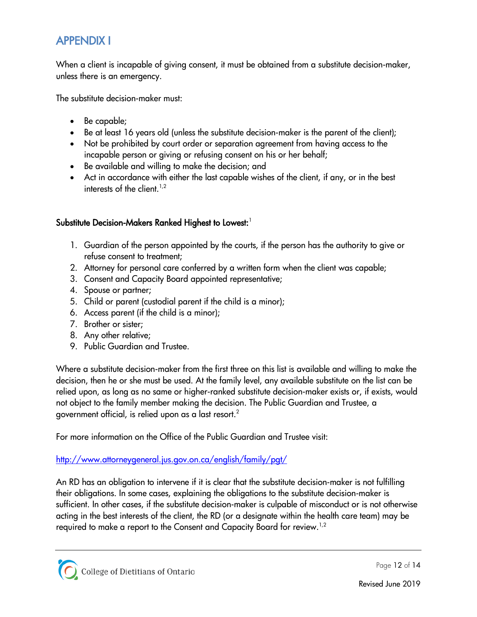# <span id="page-11-0"></span>APPENDIX I

When a client is incapable of giving consent, it must be obtained from a substitute decision-maker, unless there is an emergency.

The substitute decision-maker must:

- Be capable;
- Be at least 16 years old (unless the substitute decision-maker is the parent of the client);
- Not be prohibited by court order or separation agreement from having access to the incapable person or giving or refusing consent on his or her behalf;
- Be available and willing to make the decision; and
- Act in accordance with either the last capable wishes of the client, if any, or in the best interests of the client.<sup>1,2</sup>

# Substitute Decision-Makers Ranked Highest to Lowest:  $^{\text{!}}$

- 1. Guardian of the person appointed by the courts, if the person has the authority to give or refuse consent to treatment;
- 2. Attorney for personal care conferred by a written form when the client was capable;
- 3. Consent and Capacity Board appointed representative;
- 4. Spouse or partner;
- 5. Child or parent (custodial parent if the child is a minor);
- 6. Access parent (if the child is a minor);
- 7. Brother or sister;
- 8. Any other relative;
- 9. Public Guardian and Trustee.

Where a substitute decision-maker from the first three on this list is available and willing to make the decision, then he or she must be used. At the family level, any available substitute on the list can be relied upon, as long as no same or higher-ranked substitute decision-maker exists or, if exists, would not object to the family member making the decision. The Public Guardian and Trustee, a government official, is relied upon as a last resort.<sup>2</sup>

For more information on the Office of the Public Guardian and Trustee visit:

## <http://www.attorneygeneral.jus.gov.on.ca/english/family/pgt/>

An RD has an obligation to intervene if it is clear that the substitute decision-maker is not fulfilling their obligations. In some cases, explaining the obligations to the substitute decision-maker is sufficient. In other cases, if the substitute decision-maker is culpable of misconduct or is not otherwise acting in the best interests of the client, the RD (or a designate within the health care team) may be required to make a report to the Consent and Capacity Board for review.  $^{1,2}$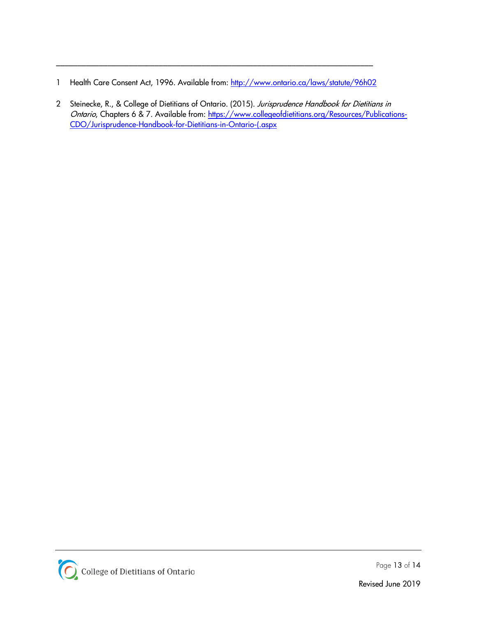1 Health Care Consent Act, 1996. Available from:<http://www.ontario.ca/laws/statute/96h02>

\_\_\_\_\_\_\_\_\_\_\_\_\_\_\_\_\_\_\_\_\_\_\_\_\_\_\_\_\_\_\_\_\_\_\_\_\_\_\_\_\_\_\_\_\_\_\_\_\_\_\_\_\_\_\_\_\_\_\_\_\_\_\_\_\_\_\_\_\_\_\_\_\_\_

2 Steinecke, R., & College of Dietitians of Ontario. (2015). Jurisprudence Handbook for Dietitians in Ontario, Chapters 6 & 7. Available from: [https://www.collegeofdietitians.org/Resources/Publications-](https://www.collegeofdietitians.org/Resources/Publications-CDO/Jurisprudence-Handbook-for-Dietitians-in-Ontario-(.aspx)[CDO/Jurisprudence-Handbook-for-Dietitians-in-Ontario-\(.aspx](https://www.collegeofdietitians.org/Resources/Publications-CDO/Jurisprudence-Handbook-for-Dietitians-in-Ontario-(.aspx)